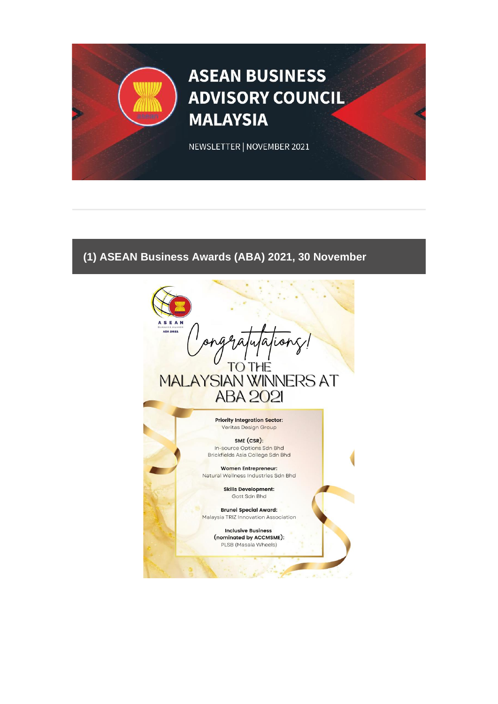# **ASEAN BUSINESS ADVISORY COUNCIL MALAYSIA**

NEWSLETTER | NOVEMBER 2021

# **(1) ASEAN Business Awards (ABA) 2021, 30 November**

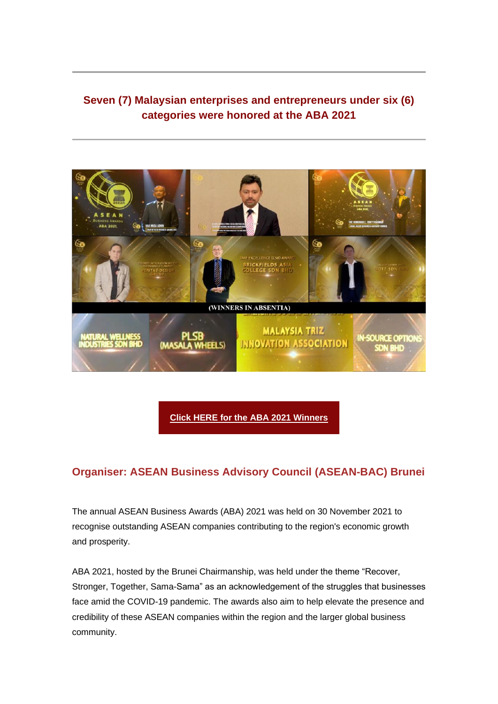# **Seven (7) Malaysian enterprises and entrepreneurs under six (6) categories were honored at the ABA 2021**



**[Click HERE for the ABA 2021 Winners](https://aseanbac.us12.list-manage.com/track/click?u=7981e0370c4f4201db79a0446&id=ac20f9cc32&e=3f26d00093)**

## **Organiser: ASEAN Business Advisory Council (ASEAN-BAC) Brunei**

The annual ASEAN Business Awards (ABA) 2021 was held on 30 November 2021 to recognise outstanding ASEAN companies contributing to the region's economic growth and prosperity.

ABA 2021, hosted by the Brunei Chairmanship, was held under the theme "Recover, Stronger, Together, Sama-Sama" as an acknowledgement of the struggles that businesses face amid the COVID-19 pandemic. The awards also aim to help elevate the presence and credibility of these ASEAN companies within the region and the larger global business community.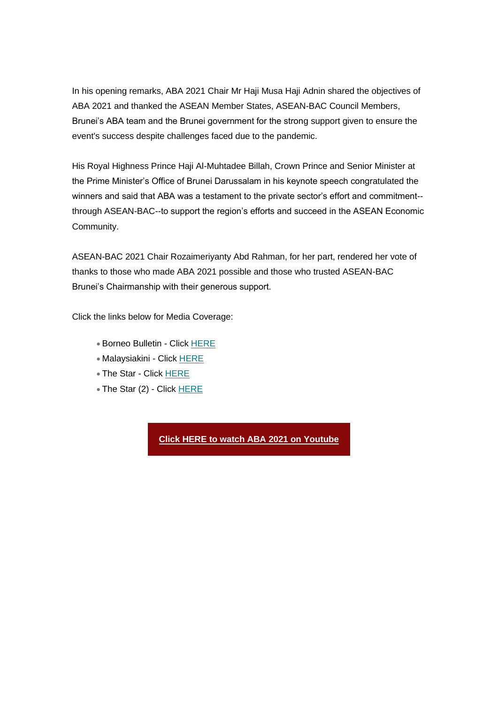In his opening remarks, ABA 2021 Chair Mr Haji Musa Haji Adnin shared the objectives of ABA 2021 and thanked the ASEAN Member States, ASEAN-BAC Council Members, Brunei's ABA team and the Brunei government for the strong support given to ensure the event's success despite challenges faced due to the pandemic.

His Royal Highness Prince Haji Al-Muhtadee Billah, Crown Prince and Senior Minister at the Prime Minister's Office of Brunei Darussalam in his keynote speech congratulated the winners and said that ABA was a testament to the private sector's effort and commitment- through ASEAN-BAC--to support the region's efforts and succeed in the ASEAN Economic Community.

ASEAN-BAC 2021 Chair Rozaimeriyanty Abd Rahman, for her part, rendered her vote of thanks to those who made ABA 2021 possible and those who trusted ASEAN-BAC Brunei's Chairmanship with their generous support.

Click the links below for Media Coverage:

- Borneo Bulletin Click [HERE](https://aseanbac.us12.list-manage.com/track/click?u=7981e0370c4f4201db79a0446&id=3037e023b5&e=3f26d00093)
- Malaysiakini Click [HERE](https://aseanbac.us12.list-manage.com/track/click?u=7981e0370c4f4201db79a0446&id=71173ed0b8&e=3f26d00093)
- The Star Click [HERE](https://aseanbac.us12.list-manage.com/track/click?u=7981e0370c4f4201db79a0446&id=11013592fc&e=3f26d00093)
- The Star (2) Click [HERE](https://aseanbac.us12.list-manage.com/track/click?u=7981e0370c4f4201db79a0446&id=fb0c08fb97&e=3f26d00093)

**[Click HERE to watch ABA 2021 on Youtube](https://aseanbac.us12.list-manage.com/track/click?u=7981e0370c4f4201db79a0446&id=ca0bb38cfb&e=3f26d00093)**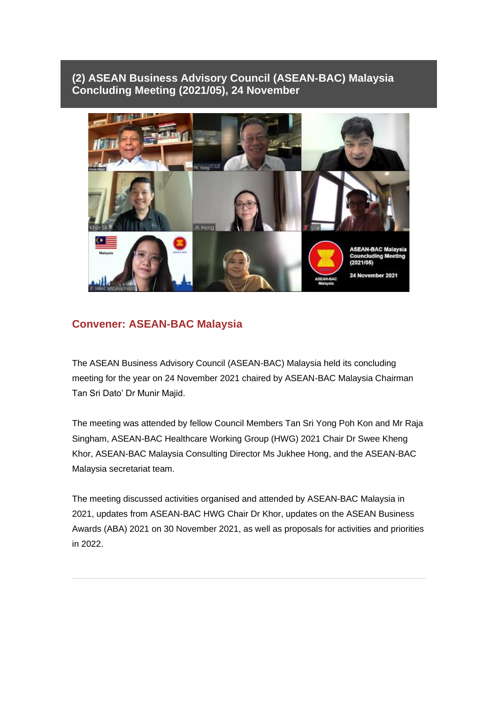## **(2) ASEAN Business Advisory Council (ASEAN-BAC) Malaysia Concluding Meeting (2021/05), 24 November**



#### **Convener: ASEAN-BAC Malaysia**

The ASEAN Business Advisory Council (ASEAN-BAC) Malaysia held its concluding meeting for the year on 24 November 2021 chaired by ASEAN-BAC Malaysia Chairman Tan Sri Dato' Dr Munir Majid.

The meeting was attended by fellow Council Members Tan Sri Yong Poh Kon and Mr Raja Singham, ASEAN-BAC Healthcare Working Group (HWG) 2021 Chair Dr Swee Kheng Khor, ASEAN-BAC Malaysia Consulting Director Ms Jukhee Hong, and the ASEAN-BAC Malaysia secretariat team.

The meeting discussed activities organised and attended by ASEAN-BAC Malaysia in 2021, updates from ASEAN-BAC HWG Chair Dr Khor, updates on the ASEAN Business Awards (ABA) 2021 on 30 November 2021, as well as proposals for activities and priorities in 2022.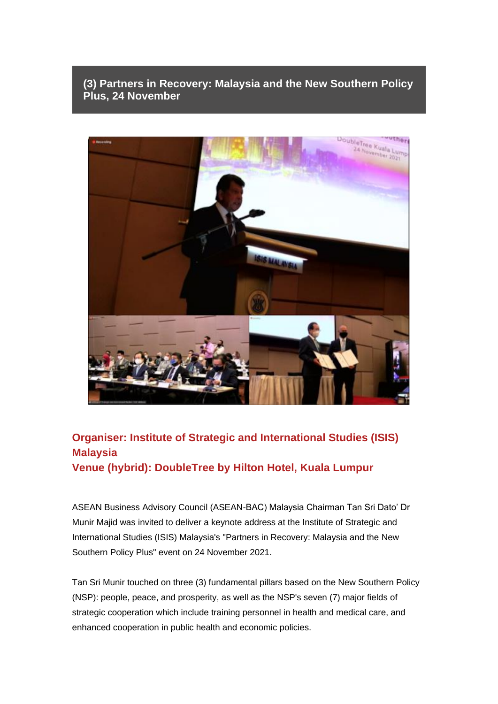**(3) Partners in Recovery: Malaysia and the New Southern Policy Plus, 24 November**



# **Organiser: Institute of Strategic and International Studies (ISIS) Malaysia Venue (hybrid): DoubleTree by Hilton Hotel, Kuala Lumpur**

ASEAN Business Advisory Council (ASEAN-BAC) Malaysia Chairman Tan Sri Dato' Dr Munir Majid was invited to deliver a keynote address at the Institute of Strategic and International Studies (ISIS) Malaysia's "Partners in Recovery: Malaysia and the New Southern Policy Plus" event on 24 November 2021.

Tan Sri Munir touched on three (3) fundamental pillars based on the New Southern Policy (NSP): people, peace, and prosperity, as well as the NSP's seven (7) major fields of strategic cooperation which include training personnel in health and medical care, and enhanced cooperation in public health and economic policies.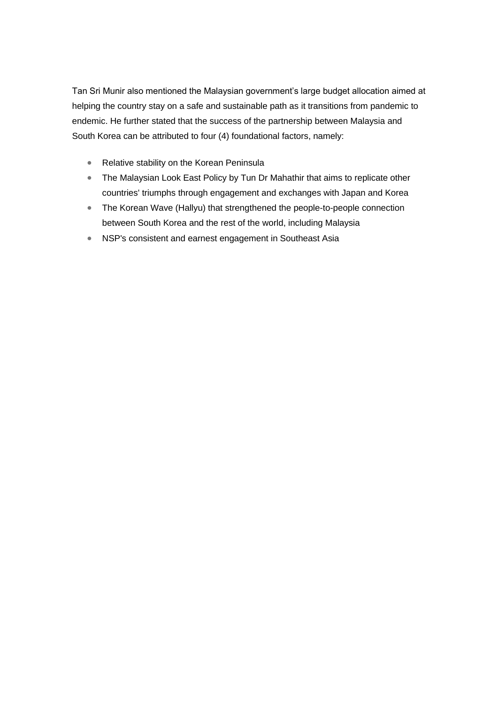Tan Sri Munir also mentioned the Malaysian government's large budget allocation aimed at helping the country stay on a safe and sustainable path as it transitions from pandemic to endemic. He further stated that the success of the partnership between Malaysia and South Korea can be attributed to four (4) foundational factors, namely:

- Relative stability on the Korean Peninsula
- The Malaysian Look East Policy by Tun Dr Mahathir that aims to replicate other countries' triumphs through engagement and exchanges with Japan and Korea
- The Korean Wave (Hallyu) that strengthened the people-to-people connection between South Korea and the rest of the world, including Malaysia
- NSP's consistent and earnest engagement in Southeast Asia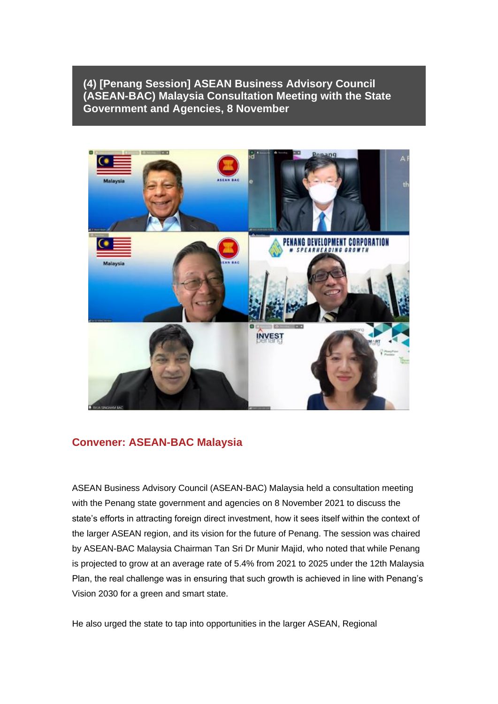**(4) [Penang Session] ASEAN Business Advisory Council (ASEAN-BAC) Malaysia Consultation Meeting with the State Government and Agencies, 8 November**



#### **Convener: ASEAN-BAC Malaysia**

ASEAN Business Advisory Council (ASEAN-BAC) Malaysia held a consultation meeting with the Penang state government and agencies on 8 November 2021 to discuss the state's efforts in attracting foreign direct investment, how it sees itself within the context of the larger ASEAN region, and its vision for the future of Penang. The session was chaired by ASEAN-BAC Malaysia Chairman Tan Sri Dr Munir Majid, who noted that while Penang is projected to grow at an average rate of 5.4% from 2021 to 2025 under the 12th Malaysia Plan, the real challenge was in ensuring that such growth is achieved in line with Penang's Vision 2030 for a green and smart state.

He also urged the state to tap into opportunities in the larger ASEAN, Regional